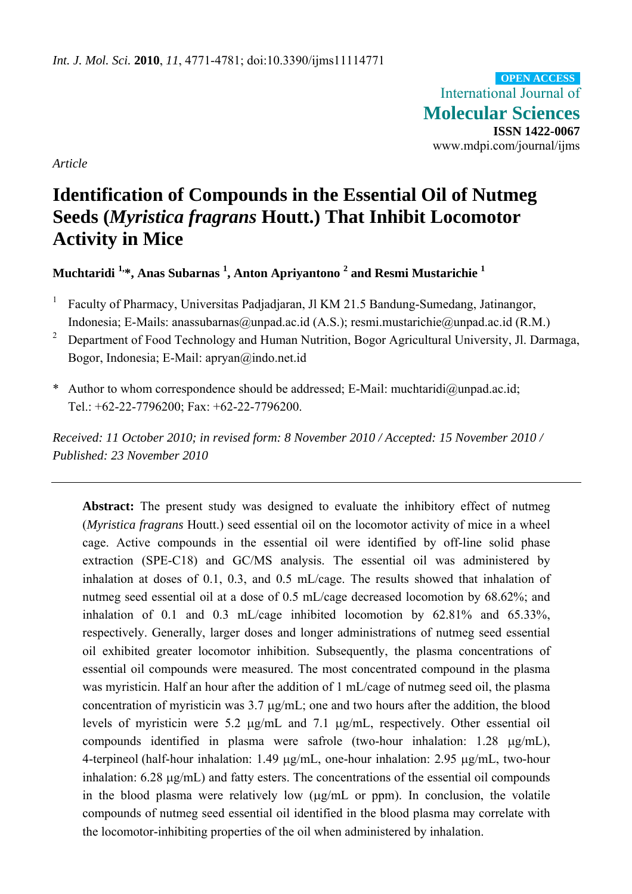International Journal of **Molecular Sciences ISSN 1422-0067**  www.mdpi.com/journal/ijms **OPEN ACCESS**

*Article* 

# **Identification of Compounds in the Essential Oil of Nutmeg Seeds (***Myristica fragrans* **Houtt.) That Inhibit Locomotor Activity in Mice**

**Muchtaridi 1,\*, Anas Subarnas 1 , Anton Apriyantono <sup>2</sup> and Resmi Mustarichie 1**

- 1 Faculty of Pharmacy, Universitas Padjadjaran, Jl KM 21.5 Bandung-Sumedang, Jatinangor, Indonesia; E-Mails: anassubarnas@unpad.ac.id (A.S.); resmi.mustarichie@unpad.ac.id (R.M.)
- 2 Department of Food Technology and Human Nutrition, Bogor Agricultural University, Jl. Darmaga, Bogor, Indonesia; E-Mail: apryan@indo.net.id
- \* Author to whom correspondence should be addressed; E-Mail: muchtaridi@unpad.ac.id; Tel.: +62-22-7796200; Fax: +62-22-7796200.

*Received: 11 October 2010; in revised form: 8 November 2010 / Accepted: 15 November 2010 / Published: 23 November 2010* 

**Abstract:** The present study was designed to evaluate the inhibitory effect of nutmeg (*Myristica fragrans* Houtt.) seed essential oil on the locomotor activity of mice in a wheel cage. Active compounds in the essential oil were identified by off-line solid phase extraction (SPE-C18) and GC/MS analysis. The essential oil was administered by inhalation at doses of 0.1, 0.3, and 0.5 mL/cage. The results showed that inhalation of nutmeg seed essential oil at a dose of 0.5 mL/cage decreased locomotion by 68.62%; and inhalation of 0.1 and 0.3 mL/cage inhibited locomotion by 62.81% and 65.33%, respectively. Generally, larger doses and longer administrations of nutmeg seed essential oil exhibited greater locomotor inhibition. Subsequently, the plasma concentrations of essential oil compounds were measured. The most concentrated compound in the plasma was myristicin. Half an hour after the addition of 1 mL/cage of nutmeg seed oil, the plasma concentration of myristicin was  $3.7 \mu$ g/mL; one and two hours after the addition, the blood levels of myristicin were 5.2  $\mu$ g/mL and 7.1  $\mu$ g/mL, respectively. Other essential oil compounds identified in plasma were safrole (two-hour inhalation:  $1.28 \mu g/mL$ ), 4-terpineol (half-hour inhalation:  $1.49 \mu g/mL$ , one-hour inhalation:  $2.95 \mu g/mL$ , two-hour inhalation:  $6.28 \mu g/mL$ ) and fatty esters. The concentrations of the essential oil compounds in the blood plasma were relatively low  $(\mu g/mL)$  or ppm). In conclusion, the volatile compounds of nutmeg seed essential oil identified in the blood plasma may correlate with the locomotor-inhibiting properties of the oil when administered by inhalation.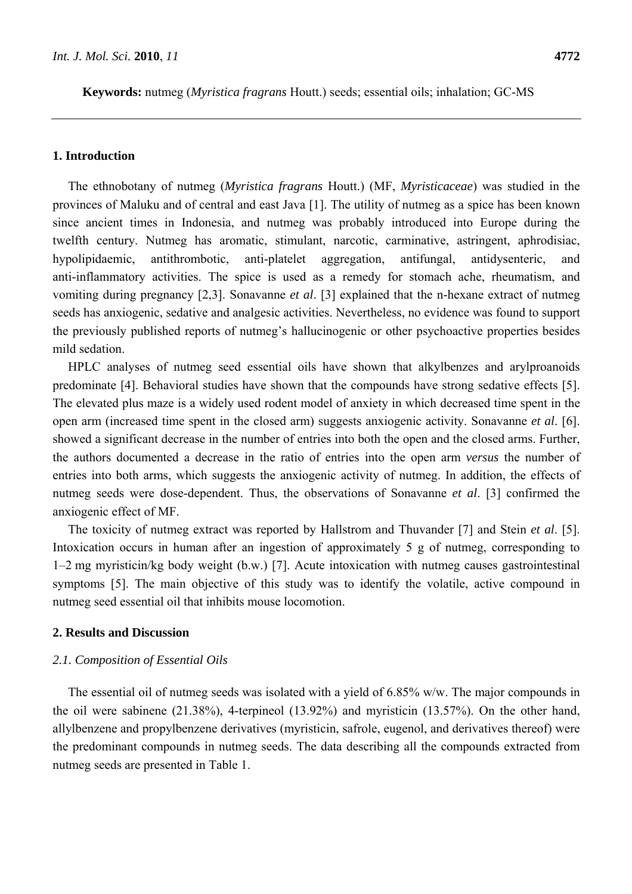**Keywords:** nutmeg (*Myristica fragrans* Houtt.) seeds; essential oils; inhalation; GC-MS

## **1. Introduction**

The ethnobotany of nutmeg (*Myristica fragrans* Houtt.) (MF, *Myristicaceae*) was studied in the provinces of Maluku and of central and east Java [1]. The utility of nutmeg as a spice has been known since ancient times in Indonesia, and nutmeg was probably introduced into Europe during the twelfth century. Nutmeg has aromatic, stimulant, narcotic, carminative, astringent, aphrodisiac, hypolipidaemic, antithrombotic, anti-platelet aggregation, antifungal, antidysenteric, and anti-inflammatory activities. The spice is used as a remedy for stomach ache, rheumatism, and vomiting during pregnancy [2,3]. Sonavanne *et al*. [3] explained that the n-hexane extract of nutmeg seeds has anxiogenic, sedative and analgesic activities. Nevertheless, no evidence was found to support the previously published reports of nutmeg's hallucinogenic or other psychoactive properties besides mild sedation.

HPLC analyses of nutmeg seed essential oils have shown that alkylbenzes and arylproanoids predominate [4]. Behavioral studies have shown that the compounds have strong sedative effects [5]. The elevated plus maze is a widely used rodent model of anxiety in which decreased time spent in the open arm (increased time spent in the closed arm) suggests anxiogenic activity. Sonavanne *et al*. [6]. showed a significant decrease in the number of entries into both the open and the closed arms. Further, the authors documented a decrease in the ratio of entries into the open arm *versus* the number of entries into both arms, which suggests the anxiogenic activity of nutmeg. In addition, the effects of nutmeg seeds were dose-dependent. Thus, the observations of Sonavanne *et al*. [3] confirmed the anxiogenic effect of MF.

The toxicity of nutmeg extract was reported by Hallstrom and Thuvander [7] and Stein *et al*. [5]. Intoxication occurs in human after an ingestion of approximately 5 g of nutmeg, corresponding to 1–2 mg myristicin/kg body weight (b.w.) [7]. Acute intoxication with nutmeg causes gastrointestinal symptoms [5]. The main objective of this study was to identify the volatile, active compound in nutmeg seed essential oil that inhibits mouse locomotion.

## **2. Results and Discussion**

### *2.1. Composition of Essential Oils*

The essential oil of nutmeg seeds was isolated with a yield of 6.85% w/w. The major compounds in the oil were sabinene (21.38%), 4-terpineol (13.92%) and myristicin (13.57%). On the other hand, allylbenzene and propylbenzene derivatives (myristicin, safrole, eugenol, and derivatives thereof) were the predominant compounds in nutmeg seeds. The data describing all the compounds extracted from nutmeg seeds are presented in Table 1.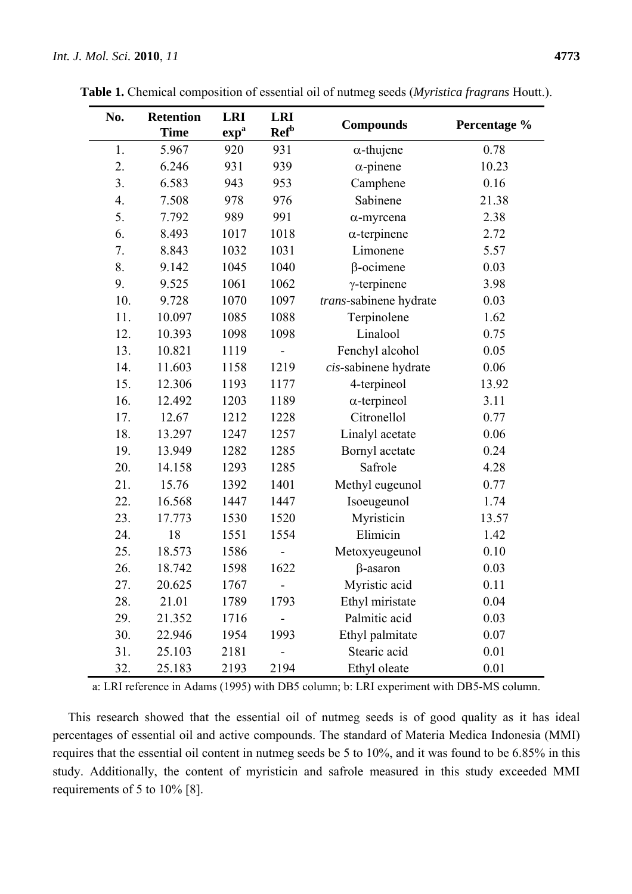| No. | <b>Retention</b> | <b>LRI</b>       | <b>LRI</b>              |                        | Percentage % |  |
|-----|------------------|------------------|-------------------------|------------------------|--------------|--|
|     | <b>Time</b>      | exp <sup>a</sup> | <b>Ref</b> <sup>b</sup> | <b>Compounds</b>       |              |  |
| 1.  | 5.967            | 920              | 931                     | $\alpha$ -thujene      | 0.78         |  |
| 2.  | 6.246            | 931              | 939                     | $\alpha$ -pinene       | 10.23        |  |
| 3.  | 6.583            | 943              | 953                     | Camphene               | 0.16         |  |
| 4.  | 7.508            | 978              | 976                     | Sabinene               | 21.38        |  |
| 5.  | 7.792            | 989              | 991                     | $\alpha$ -myrcena      | 2.38         |  |
| 6.  | 8.493            | 1017             | 1018                    | $\alpha$ -terpinene    | 2.72         |  |
| 7.  | 8.843            | 1032             | 1031                    | Limonene               | 5.57         |  |
| 8.  | 9.142            | 1045             | 1040                    | $\beta$ -ocimene       | 0.03         |  |
| 9.  | 9.525            | 1061             | 1062                    | $\gamma$ -terpinene    | 3.98         |  |
| 10. | 9.728            | 1070             | 1097                    | trans-sabinene hydrate | 0.03         |  |
| 11. | 10.097           | 1085             | 1088                    | Terpinolene            | 1.62         |  |
| 12. | 10.393           | 1098             | 1098                    | Linalool               | 0.75         |  |
| 13. | 10.821           | 1119             |                         | Fenchyl alcohol        | 0.05         |  |
| 14. | 11.603           | 1158             | 1219                    | cis-sabinene hydrate   | 0.06         |  |
| 15. | 12.306           | 1193             | 1177                    | 4-terpineol            | 13.92        |  |
| 16. | 12.492           | 1203             | 1189                    | $\alpha$ -terpineol    | 3.11         |  |
| 17. | 12.67            | 1212             | 1228                    | Citronellol            | 0.77         |  |
| 18. | 13.297           | 1247             | 1257                    | Linalyl acetate        | 0.06         |  |
| 19. | 13.949           | 1282             | 1285                    | Bornyl acetate         | 0.24         |  |
| 20. | 14.158           | 1293             | 1285                    | Safrole                | 4.28         |  |
| 21. | 15.76            | 1392             | 1401                    | Methyl eugeunol        | 0.77         |  |
| 22. | 16.568           | 1447             | 1447                    | Isoeugeunol            | 1.74         |  |
| 23. | 17.773           | 1530             | 1520                    | Myristicin             | 13.57        |  |
| 24. | 18               | 1551             | 1554                    | Elimicin               | 1.42         |  |
| 25. | 18.573           | 1586             |                         | Metoxyeugeunol         | 0.10         |  |
| 26. | 18.742           | 1598             | 1622                    | $\beta$ -asaron        | 0.03         |  |
| 27. | 20.625           | 1767             | -                       | Myristic acid          | 0.11         |  |
| 28. | 21.01            | 1789             | 1793                    | Ethyl miristate        | 0.04         |  |
| 29. | 21.352           | 1716             |                         | Palmitic acid          | 0.03         |  |
| 30. | 22.946           | 1954             | 1993                    | Ethyl palmitate        | 0.07         |  |
| 31. | 25.103           | 2181             |                         | Stearic acid           | 0.01         |  |
| 32. | 25.183           | 2193             | 2194                    | Ethyl oleate           | 0.01         |  |

**Table 1.** Chemical composition of essential oil of nutmeg seeds (*Myristica fragrans* Houtt.).

a: LRI reference in Adams (1995) with DB5 column; b: LRI experiment with DB5-MS column.

This research showed that the essential oil of nutmeg seeds is of good quality as it has ideal percentages of essential oil and active compounds. The standard of Materia Medica Indonesia (MMI) requires that the essential oil content in nutmeg seeds be 5 to 10%, and it was found to be 6.85% in this study. Additionally, the content of myristicin and safrole measured in this study exceeded MMI requirements of 5 to 10% [8].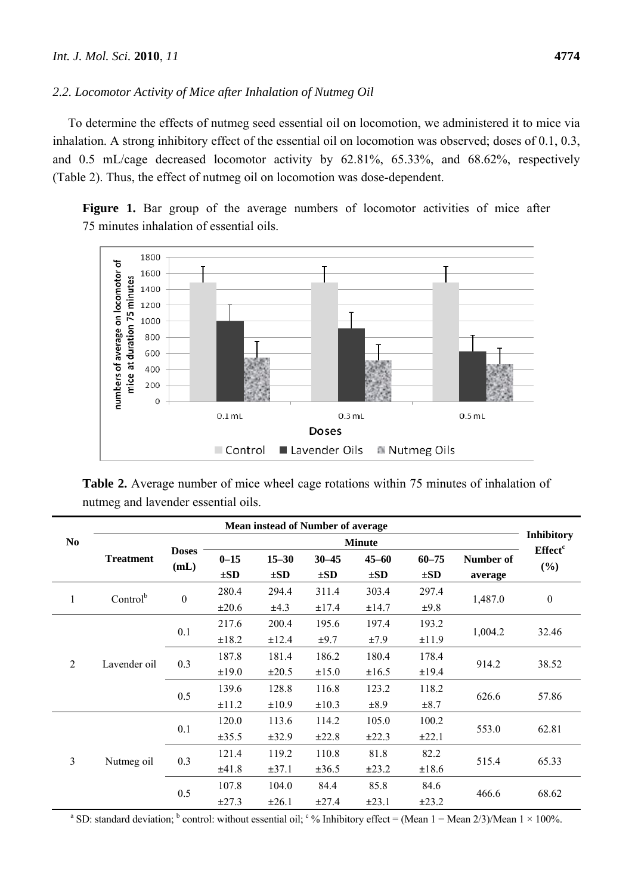## *2.2. Locomotor Activity of Mice after Inhalation of Nutmeg Oil*

To determine the effects of nutmeg seed essential oil on locomotion, we administered it to mice via inhalation. A strong inhibitory effect of the essential oil on locomotion was observed; doses of 0.1, 0.3, and 0.5 mL/cage decreased locomotor activity by 62.81%, 65.33%, and 68.62%, respectively (Table 2). Thus, the effect of nutmeg oil on locomotion was dose-dependent.

Figure 1. Bar group of the average numbers of locomotor activities of mice after 75 minutes inhalation of essential oils.



**Table 2.** Average number of mice wheel cage rotations within 75 minutes of inhalation of nutmeg and lavender essential oils.

|                                      | <b>Mean instead of Number of average</b> |                      |            |                   |            |            |            |           |                     |
|--------------------------------------|------------------------------------------|----------------------|------------|-------------------|------------|------------|------------|-----------|---------------------|
| N <sub>0</sub>                       |                                          | <b>Doses</b><br>(mL) |            | <b>Inhibitory</b> |            |            |            |           |                     |
|                                      | <b>Treatment</b>                         |                      | $0 - 15$   | $15 - 30$         | $30 - 45$  | $45 - 60$  | $60 - 75$  | Number of | Effect <sup>c</sup> |
|                                      |                                          |                      | $\pm SD$   | $\pm SD$          | $\pm SD$   | $\pm SD$   | $\pm SD$   | average   | (%)                 |
|                                      |                                          | $\boldsymbol{0}$     | 280.4      | 294.4             | 311.4      | 303.4      | 297.4      | 1,487.0   | $\boldsymbol{0}$    |
| Control <sup>b</sup><br>$\mathbf{1}$ |                                          |                      | $\pm 20.6$ | ±4.3              | ±17.4      | ±14.7      | ±9.8       |           |                     |
|                                      |                                          | 0.1                  | 217.6      | 200.4             | 195.6      | 197.4      | 193.2      | 1,004.2   | 32.46               |
|                                      |                                          |                      | ±18.2      | ±12.4             | ±9.7       | ±7.9       | ±11.9      |           |                     |
| $\mathfrak{D}$                       | Lavender oil                             | 0.3                  | 187.8      | 181.4             | 186.2      | 180.4      | 178.4      | 914.2     | 38.52               |
|                                      |                                          |                      | ±19.0      | $\pm 20.5$        | ±15.0      | ±16.5      | ±19.4      |           |                     |
|                                      |                                          | 0.5                  | 139.6      | 128.8             | 116.8      | 123.2      | 118.2      | 626.6     | 57.86               |
|                                      |                                          |                      | ±11.2      | ±10.9             | $\pm 10.3$ | ±8.9       | $\pm 8.7$  |           |                     |
| $\overline{3}$                       |                                          | 0.1                  | 120.0      | 113.6             | 114.2      | 105.0      | 100.2      | 553.0     | 62.81               |
|                                      | Nutmeg oil                               |                      | ±35.5      | $\pm 32.9$        | ±22.8      | $\pm 22.3$ | $\pm 22.1$ |           |                     |
|                                      |                                          | 0.3                  | 121.4      | 119.2             | 110.8      | 81.8       | 82.2       | 515.4     | 65.33               |
|                                      |                                          |                      | ±41.8      | $\pm 37.1$        | $\pm 36.5$ | $\pm 23.2$ | ±18.6      |           |                     |
|                                      |                                          | 0.5                  | 107.8      | 104.0             | 84.4       | 85.8       | 84.6       | 466.6     | 68.62               |
|                                      |                                          |                      | $\pm 27.3$ | $\pm 26.1$        | ±27.4      | $\pm 23.1$ | $\pm 23.2$ |           |                     |

<sup>a</sup> SD: standard deviation; <sup>b</sup> control: without essential oil; <sup>c</sup>% Inhibitory effect = (Mean 1 – Mean 2/3)/Mean 1 × 100%.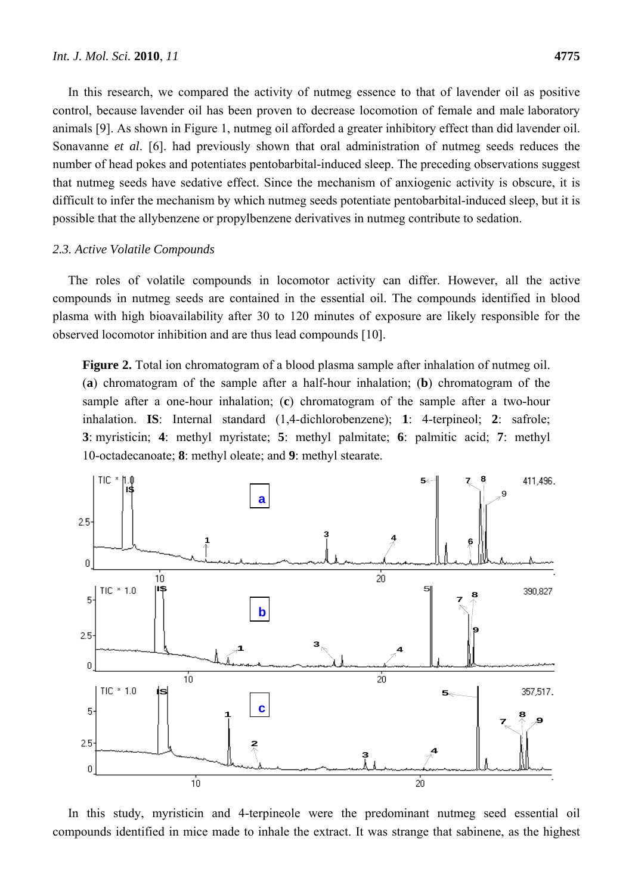In this research, we compared the activity of nutmeg essence to that of lavender oil as positive control, because lavender oil has been proven to decrease locomotion of female and male laboratory animals [9]. As shown in Figure 1, nutmeg oil afforded a greater inhibitory effect than did lavender oil. Sonavanne *et al*. [6]. had previously shown that oral administration of nutmeg seeds reduces the number of head pokes and potentiates pentobarbital-induced sleep. The preceding observations suggest that nutmeg seeds have sedative effect. Since the mechanism of anxiogenic activity is obscure, it is difficult to infer the mechanism by which nutmeg seeds potentiate pentobarbital-induced sleep, but it is possible that the allybenzene or propylbenzene derivatives in nutmeg contribute to sedation.

#### *2.3. Active Volatile Compounds*

The roles of volatile compounds in locomotor activity can differ. However, all the active compounds in nutmeg seeds are contained in the essential oil. The compounds identified in blood plasma with high bioavailability after 30 to 120 minutes of exposure are likely responsible for the observed locomotor inhibition and are thus lead compounds [10].

**Figure 2.** Total ion chromatogram of a blood plasma sample after inhalation of nutmeg oil. (**a**) chromatogram of the sample after a half-hour inhalation; (**b**) chromatogram of the sample after a one-hour inhalation; (**c**) chromatogram of the sample after a two-hour inhalation. **IS**: Internal standard (1,4-dichlorobenzene); **1**: 4-terpineol; **2**: safrole; **3**: myristicin; **4**: methyl myristate; **5**: methyl palmitate; **6**: palmitic acid; **7**: methyl 10-octadecanoate; **8**: methyl oleate; and **9**: methyl stearate.



In this study, myristicin and 4-terpineole were the predominant nutmeg seed essential oil compounds identified in mice made to inhale the extract. It was strange that sabinene, as the highest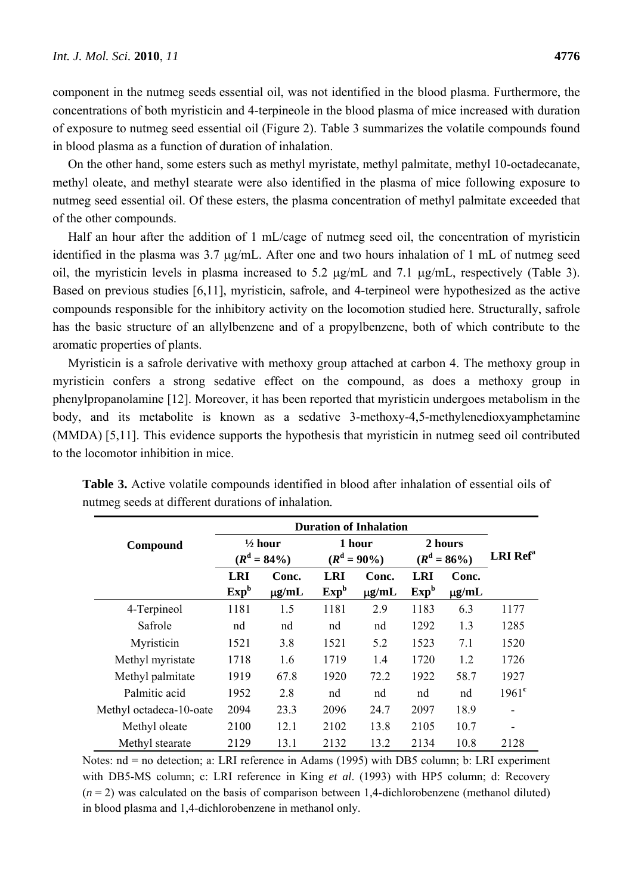component in the nutmeg seeds essential oil, was not identified in the blood plasma. Furthermore, the concentrations of both myristicin and 4-terpineole in the blood plasma of mice increased with duration of exposure to nutmeg seed essential oil (Figure 2). Table 3 summarizes the volatile compounds found in blood plasma as a function of duration of inhalation.

On the other hand, some esters such as methyl myristate, methyl palmitate, methyl 10-octadecanate, methyl oleate, and methyl stearate were also identified in the plasma of mice following exposure to nutmeg seed essential oil. Of these esters, the plasma concentration of methyl palmitate exceeded that of the other compounds.

Half an hour after the addition of 1 mL/cage of nutmeg seed oil, the concentration of myristicin identified in the plasma was  $3.7 \mu g/mL$ . After one and two hours inhalation of 1 mL of nutmeg seed oil, the myristicin levels in plasma increased to 5.2  $\mu$ g/mL and 7.1  $\mu$ g/mL, respectively (Table 3). Based on previous studies [6,11], myristicin, safrole, and 4-terpineol were hypothesized as the active compounds responsible for the inhibitory activity on the locomotion studied here. Structurally, safrole has the basic structure of an allylbenzene and of a propylbenzene, both of which contribute to the aromatic properties of plants.

Myristicin is a safrole derivative with methoxy group attached at carbon 4. The methoxy group in myristicin confers a strong sedative effect on the compound, as does a methoxy group in phenylpropanolamine [12]. Moreover, it has been reported that myristicin undergoes metabolism in the body, and its metabolite is known as a sedative 3-methoxy-4,5-methylenedioxyamphetamine (MMDA) [5,11]. This evidence supports the hypothesis that myristicin in nutmeg seed oil contributed to the locomotor inhibition in mice.

|                         | <b>Duration of Inhalation</b>        |                     |                                |                          |                                |                     |                             |  |
|-------------------------|--------------------------------------|---------------------|--------------------------------|--------------------------|--------------------------------|---------------------|-----------------------------|--|
| Compound                | $\frac{1}{2}$ hour<br>$(R^d = 84\%)$ |                     |                                | 1 hour<br>$(R^d = 90\%)$ | 2 hours<br>$(R^d = 86\%)$      |                     | <b>LRI</b> Ref <sup>a</sup> |  |
|                         | <b>LRI</b><br>Exp <sup>b</sup>       | Conc.<br>$\mu$ g/mL | <b>LRI</b><br>Exp <sup>b</sup> | Conc.<br>$\mu$ g/mL      | <b>LRI</b><br>Exp <sup>b</sup> | Conc.<br>$\mu$ g/mL |                             |  |
| 4-Terpineol             | 1181                                 | 1.5                 | 1181                           | 2.9                      | 1183                           | 6.3                 | 1177                        |  |
| Safrole                 | nd                                   | nd                  | nd                             | nd                       | 1292                           | 1.3                 | 1285                        |  |
| Myristicin              | 1521                                 | 3.8                 | 1521                           | 5.2                      | 1523                           | 7.1                 | 1520                        |  |
| Methyl myristate        | 1718                                 | 1.6                 | 1719                           | 1.4                      | 1720                           | 1.2                 | 1726                        |  |
| Methyl palmitate        | 1919                                 | 67.8                | 1920                           | 72.2                     | 1922                           | 58.7                | 1927                        |  |
| Palmitic acid           | 1952                                 | 2.8                 | nd                             | nd                       | nd                             | nd                  | 1961 <sup>c</sup>           |  |
| Methyl octadeca-10-oate | 2094                                 | 23.3                | 2096                           | 24.7                     | 2097                           | 18.9                |                             |  |
| Methyl oleate           | 2100                                 | 12.1                | 2102                           | 13.8                     | 2105                           | 10.7                |                             |  |
| Methyl stearate         | 2129                                 | 13.1                | 2132                           | 13.2                     | 2134                           | 10.8                | 2128                        |  |

**Table 3.** Active volatile compounds identified in blood after inhalation of essential oils of nutmeg seeds at different durations of inhalation*.*

Notes: nd = no detection; a: LRI reference in Adams (1995) with DB5 column; b: LRI experiment with DB5-MS column; c: LRI reference in King *et al*. (1993) with HP5 column; d: Recovery  $(n=2)$  was calculated on the basis of comparison between 1,4-dichlorobenzene (methanol diluted) in blood plasma and 1,4-dichlorobenzene in methanol only.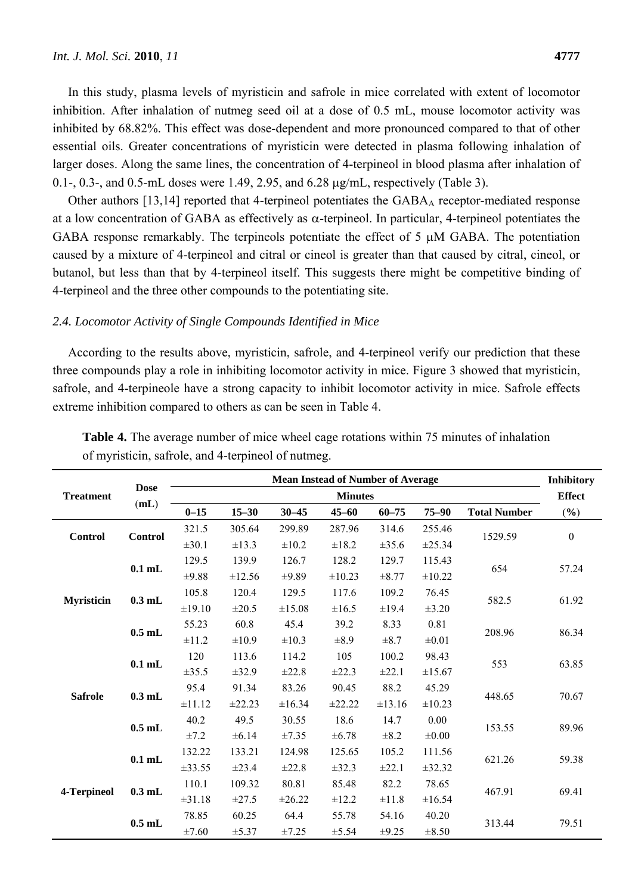In this study, plasma levels of myristicin and safrole in mice correlated with extent of locomotor inhibition. After inhalation of nutmeg seed oil at a dose of 0.5 mL, mouse locomotor activity was inhibited by 68.82%. This effect was dose-dependent and more pronounced compared to that of other essential oils. Greater concentrations of myristicin were detected in plasma following inhalation of larger doses. Along the same lines, the concentration of 4-terpineol in blood plasma after inhalation of 0.1-, 0.3-, and 0.5-mL doses were 1.49, 2.95, and  $6.28 \mu$ g/mL, respectively (Table 3).

Other authors [13,14] reported that 4-terpineol potentiates the GABA<sub>A</sub> receptor-mediated response at a low concentration of GABA as effectively as  $\alpha$ -terpineol. In particular, 4-terpineol potentiates the GABA response remarkably. The terpineols potentiate the effect of 5  $\mu$ M GABA. The potentiation caused by a mixture of 4-terpineol and citral or cineol is greater than that caused by citral, cineol, or butanol, but less than that by 4-terpineol itself. This suggests there might be competitive binding of 4-terpineol and the three other compounds to the potentiating site.

## *2.4. Locomotor Activity of Single Compounds Identified in Mice*

According to the results above, myristicin, safrole, and 4-terpineol verify our prediction that these three compounds play a role in inhibiting locomotor activity in mice. Figure 3 showed that myristicin, safrole, and 4-terpineole have a strong capacity to inhibit locomotor activity in mice. Safrole effects extreme inhibition compared to others as can be seen in Table 4.

|                   | <b>Dose</b><br>(mL) | <b>Mean Instead of Number of Average</b> |            |            |            |            |            |                     |                  |
|-------------------|---------------------|------------------------------------------|------------|------------|------------|------------|------------|---------------------|------------------|
| <b>Treatment</b>  |                     | <b>Minutes</b>                           |            |            |            |            |            |                     | <b>Effect</b>    |
|                   |                     | $0 - 15$                                 | $15 - 30$  | $30 - 45$  | $45 - 60$  | $60 - 75$  | $75 - 90$  | <b>Total Number</b> | (%)              |
| <b>Control</b>    | <b>Control</b>      | 321.5                                    | 305.64     | 299.89     | 287.96     | 314.6      | 255.46     | 1529.59             | $\boldsymbol{0}$ |
|                   |                     | $\pm 30.1$                               | $\pm 13.3$ | $\pm 10.2$ | $\pm 18.2$ | ±35.6      | ±25.34     |                     |                  |
|                   | $0.1$ mL            | 129.5                                    | 139.9      | 126.7      | 128.2      | 129.7      | 115.43     | 654                 | 57.24            |
|                   |                     | $\pm 9.88$                               | ±12.56     | $\pm 9.89$ | ±10.23     | $\pm 8.77$ | ±10.22     |                     |                  |
| <b>Myristicin</b> | $0.3$ mL            | 105.8                                    | 120.4      | 129.5      | 117.6      | 109.2      | 76.45      | 582.5               | 61.92            |
|                   |                     | ±19.10                                   | $\pm 20.5$ | ±15.08     | $\pm 16.5$ | $\pm$ 19.4 | $\pm 3.20$ |                     |                  |
|                   | $0.5$ mL            | 55.23                                    | 60.8       | 45.4       | 39.2       | 8.33       | 0.81       | 208.96              | 86.34            |
|                   |                     | ±11.2                                    | $\pm 10.9$ | $\pm 10.3$ | $\pm 8.9$  | $\pm 8.7$  | $\pm 0.01$ |                     |                  |
|                   | $0.1$ mL            | 120                                      | 113.6      | 114.2      | 105        | 100.2      | 98.43      | 553                 | 63.85            |
|                   |                     | ±35.5                                    | $\pm 32.9$ | ±22.8      | ±22.3      | ±22.1      | ±15.67     |                     |                  |
| <b>Safrole</b>    | $0.3$ mL            | 95.4                                     | 91.34      | 83.26      | 90.45      | 88.2       | 45.29      | 448.65              | 70.67            |
|                   |                     | ±11.12                                   | ±22.23     | ±16.34     | ±22.22     | ±13.16     | ±10.23     |                     |                  |
|                   | $0.5$ mL            | 40.2                                     | 49.5       | 30.55      | 18.6       | 14.7       | 0.00       | 153.55              | 89.96            |
|                   |                     | $\pm 7.2$                                | ±6.14      | ±7.35      | ±6.78      | $\pm 8.2$  | $\pm 0.00$ |                     |                  |
|                   | $0.1$ mL            | 132.22                                   | 133.21     | 124.98     | 125.65     | 105.2      | 111.56     | 621.26              | 59.38            |
|                   |                     | ±33.55                                   | $\pm 23.4$ | ±22.8      | ±32.3      | ±22.1      | ±32.32     |                     |                  |
| 4-Terpineol       | $0.3$ mL            | 110.1                                    | 109.32     | 80.81      | 85.48      | 82.2       | 78.65      | 467.91              | 69.41            |
|                   |                     | $\pm 31.18$                              | $\pm 27.5$ | ±26.22     | $\pm 12.2$ | $\pm$ 11.8 | ±16.54     |                     |                  |
|                   | $0.5$ mL            | 78.85                                    | 60.25      | 64.4       | 55.78      | 54.16      | 40.20      | 313.44              | 79.51            |
|                   |                     | $\pm 7.60$                               | ±5.37      | ±7.25      | ±5.54      | $\pm 9.25$ | $\pm 8.50$ |                     |                  |

**Table 4.** The average number of mice wheel cage rotations within 75 minutes of inhalation of myristicin, safrole, and 4-terpineol of nutmeg.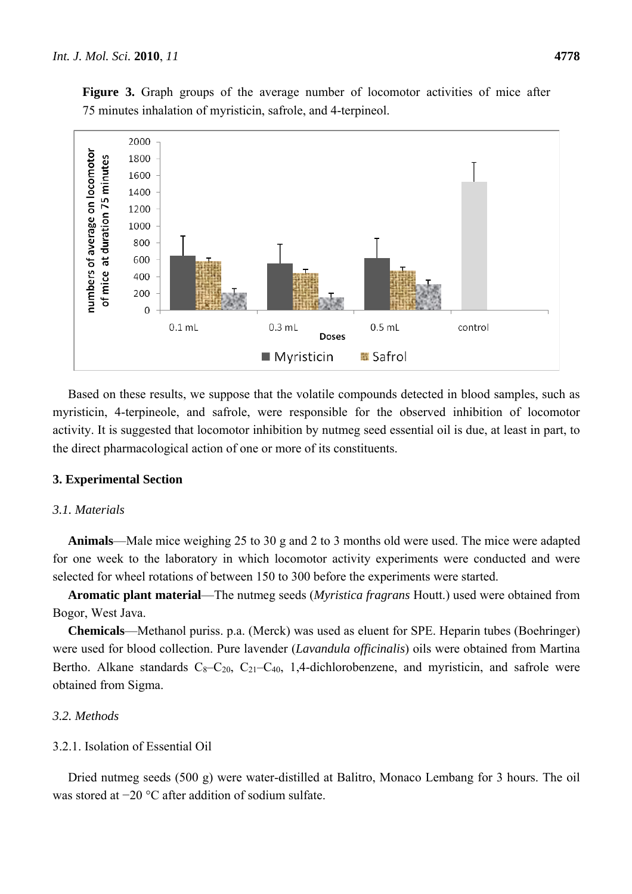

Based on these results, we suppose that the volatile compounds detected in blood samples, such as myristicin, 4-terpineole, and safrole, were responsible for the observed inhibition of locomotor activity. It is suggested that locomotor inhibition by nutmeg seed essential oil is due, at least in part, to the direct pharmacological action of one or more of its constituents.

### **3. Experimental Section**

## *3.1. Materials*

**Animals**—Male mice weighing 25 to 30 g and 2 to 3 months old were used. The mice were adapted for one week to the laboratory in which locomotor activity experiments were conducted and were selected for wheel rotations of between 150 to 300 before the experiments were started.

**Aromatic plant material**—The nutmeg seeds (*Myristica fragrans* Houtt.) used were obtained from Bogor, West Java.

**Chemicals**—Methanol puriss. p.a. (Merck) was used as eluent for SPE. Heparin tubes (Boehringer) were used for blood collection. Pure lavender (*Lavandula officinalis*) oils were obtained from Martina Bertho. Alkane standards  $C_8-C_{20}$ ,  $C_{21}-C_{40}$ , 1,4-dichlorobenzene, and myristicin, and safrole were obtained from Sigma.

## *3.2. Methods*

### 3.2.1. Isolation of Essential Oil

Dried nutmeg seeds (500 g) were water-distilled at Balitro, Monaco Lembang for 3 hours. The oil was stored at −20 °C after addition of sodium sulfate.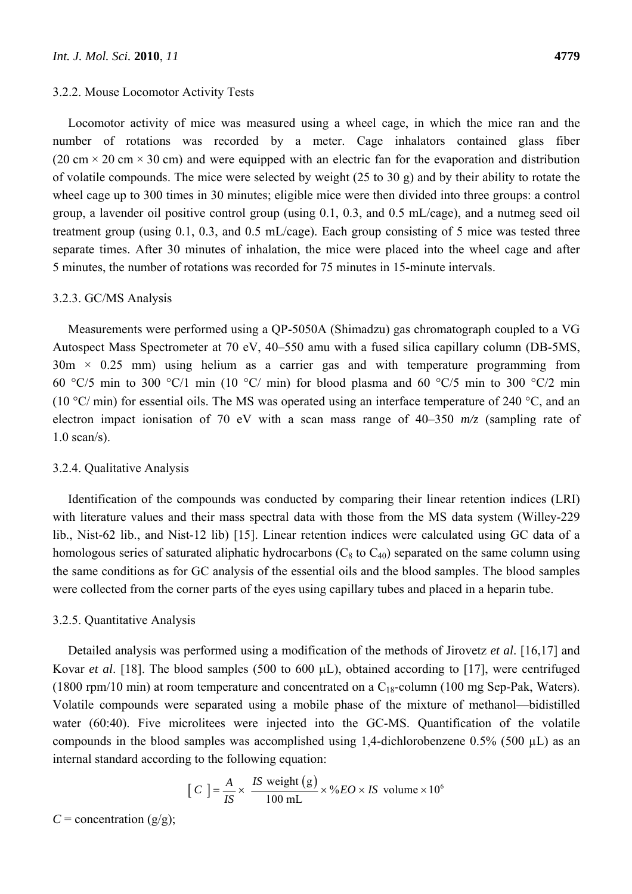#### 3.2.2. Mouse Locomotor Activity Tests

Locomotor activity of mice was measured using a wheel cage, in which the mice ran and the number of rotations was recorded by a meter. Cage inhalators contained glass fiber (20 cm  $\times$  20 cm  $\times$  30 cm) and were equipped with an electric fan for the evaporation and distribution of volatile compounds. The mice were selected by weight (25 to 30 g) and by their ability to rotate the wheel cage up to 300 times in 30 minutes; eligible mice were then divided into three groups: a control group, a lavender oil positive control group (using 0.1, 0.3, and 0.5 mL/cage), and a nutmeg seed oil treatment group (using 0.1, 0.3, and 0.5 mL/cage). Each group consisting of 5 mice was tested three separate times. After 30 minutes of inhalation, the mice were placed into the wheel cage and after 5 minutes, the number of rotations was recorded for 75 minutes in 15-minute intervals.

### 3.2.3. GC/MS Analysis

Measurements were performed using a QP-5050A (Shimadzu) gas chromatograph coupled to a VG Autospect Mass Spectrometer at 70 eV, 40–550 amu with a fused silica capillary column (DB-5MS,  $30m \times 0.25$  mm) using helium as a carrier gas and with temperature programming from 60 °C/5 min to 300 °C/1 min (10 °C/ min) for blood plasma and 60 °C/5 min to 300 °C/2 min (10 °C/ min) for essential oils. The MS was operated using an interface temperature of 240 °C, and an electron impact ionisation of 70 eV with a scan mass range of 40–350 *m/z* (sampling rate of 1.0 scan/s).

#### 3.2.4. Qualitative Analysis

Identification of the compounds was conducted by comparing their linear retention indices (LRI) with literature values and their mass spectral data with those from the MS data system (Willey-229 lib., Nist-62 lib., and Nist-12 lib) [15]. Linear retention indices were calculated using GC data of a homologous series of saturated aliphatic hydrocarbons  $(C_8 \text{ to } C_{40})$  separated on the same column using the same conditions as for GC analysis of the essential oils and the blood samples. The blood samples were collected from the corner parts of the eyes using capillary tubes and placed in a heparin tube.

### 3.2.5. Quantitative Analysis

Detailed analysis was performed using a modification of the methods of Jirovetz *et al*. [16,17] and Kovar *et al.* [18]. The blood samples (500 to 600  $\mu$ L), obtained according to [17], were centrifuged (1800 rpm/10 min) at room temperature and concentrated on a  $C_{18}$ -column (100 mg Sep-Pak, Waters). Volatile compounds were separated using a mobile phase of the mixture of methanol—bidistilled water (60:40). Five microlitees were injected into the GC-MS. Quantification of the volatile compounds in the blood samples was accomplished using 1,4-dichlorobenzene  $0.5\%$  (500  $\mu$ L) as an internal standard according to the following equation:

$$
[C] = \frac{A}{IS} \times \frac{IS \text{ weight (g)}}{100 \text{ mL}} \times \%EO \times IS \text{ volume} \times 10^6
$$

 $C =$  concentration ( $g/g$ );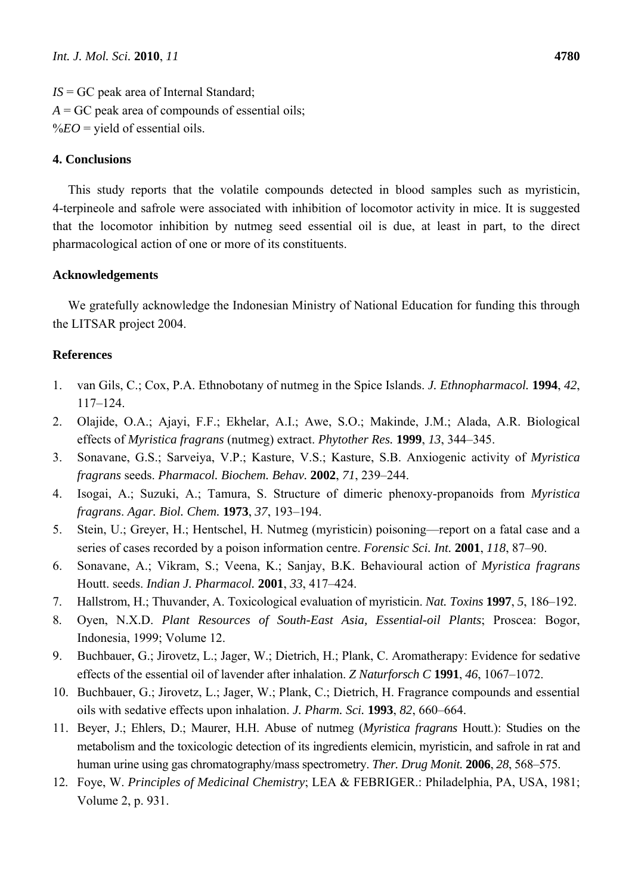*IS* = GC peak area of Internal Standard;  $A = GC$  peak area of compounds of essential oils;  $\%EO =$  yield of essential oils.

## **4. Conclusions**

This study reports that the volatile compounds detected in blood samples such as myristicin, 4-terpineole and safrole were associated with inhibition of locomotor activity in mice. It is suggested that the locomotor inhibition by nutmeg seed essential oil is due, at least in part, to the direct pharmacological action of one or more of its constituents.

## **Acknowledgements**

We gratefully acknowledge the Indonesian Ministry of National Education for funding this through the LITSAR project 2004.

## **References**

- 1. van Gils, C.; Cox, P.A. Ethnobotany of nutmeg in the Spice Islands. *J. Ethnopharmacol.* **1994**, *42*, 117–124.
- 2. Olajide, O.A.; Ajayi, F.F.; Ekhelar, A.I.; Awe, S.O.; Makinde, J.M.; Alada, A.R. Biological effects of *Myristica fragrans* (nutmeg) extract. *Phytother Res.* **1999**, *13*, 344–345.
- 3. Sonavane, G.S.; Sarveiya, V.P.; Kasture, V.S.; Kasture, S.B. Anxiogenic activity of *Myristica fragrans* seeds. *Pharmacol. Biochem. Behav.* **2002**, *71*, 239–244.
- 4. Isogai, A.; Suzuki, A.; Tamura, S. Structure of dimeric phenoxy-propanoids from *Myristica fragrans*. *Agar. Biol. Chem.* **1973**, *37*, 193–194.
- 5. Stein, U.; Greyer, H.; Hentschel, H. Nutmeg (myristicin) poisoning—report on a fatal case and a series of cases recorded by a poison information centre. *Forensic Sci. Int.* **2001**, *118*, 87–90.
- 6. Sonavane, A.; Vikram, S.; Veena, K.; Sanjay, B.K. Behavioural action of *Myristica fragrans* Houtt. seeds. *Indian J. Pharmacol.* **2001**, *33*, 417–424.
- 7. Hallstrom, H.; Thuvander, A. Toxicological evaluation of myristicin. *Nat. Toxins* **1997**, *5*, 186–192.
- 8. Oyen, N.X.D. *Plant Resources of South-East Asia, Essential-oil Plants*; Proscea: Bogor, Indonesia, 1999; Volume 12.
- 9. Buchbauer, G.; Jirovetz, L.; Jager, W.; Dietrich, H.; Plank, C. Aromatherapy: Evidence for sedative effects of the essential oil of lavender after inhalation. *Z Naturforsch C* **1991**, *46*, 1067–1072.
- 10. Buchbauer, G.; Jirovetz, L.; Jager, W.; Plank, C.; Dietrich, H. Fragrance compounds and essential oils with sedative effects upon inhalation. *J. Pharm. Sci.* **1993**, *82*, 660–664.
- 11. Beyer, J.; Ehlers, D.; Maurer, H.H. Abuse of nutmeg (*Myristica fragrans* Houtt.): Studies on the metabolism and the toxicologic detection of its ingredients elemicin, myristicin, and safrole in rat and human urine using gas chromatography/mass spectrometry. *Ther. Drug Monit.* **2006**, *28*, 568–575.
- 12. Foye, W. *Principles of Medicinal Chemistry*; LEA & FEBRIGER.: Philadelphia, PA, USA, 1981; Volume 2, p. 931.